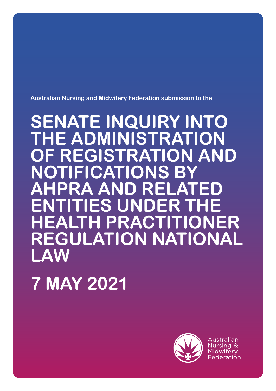**Australian Nursing and Midwifery Federation submission to the** 

# **SENATE INQUIRY INTO THE ADMINISTRATION OF REGISTRATION AND NOTIFICATIONS BY AHPRA AND RELATED ENTITIES UNDER THE HEALTH PRACTITIONER REGULATION NATIONAL LAW**

**7 MAY 2021**



Australian Nursing & Midwiferv Federation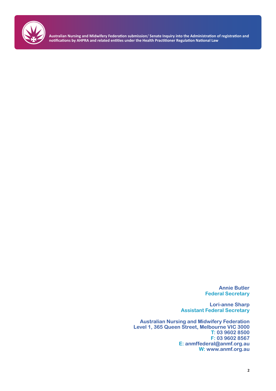

> **Annie Butler Federal Secretary**

**Lori-anne Sharp Assistant Federal Secretary**

**Australian Nursing and Midwifery Federation Level 1, 365 Queen Street, Melbourne VIC 3000 T: 03 9602 8500 F: 03 9602 8567 E: anmffederal@anmf.org.au W: www.anmf.org.au**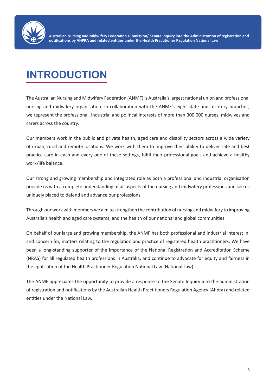

## **INTRODUCTION**

The Australian Nursing and Midwifery Federation (ANMF) is Australia's largest national union and professional nursing and midwifery organisation. In collaboration with the ANMF's eight state and territory branches, we represent the professional, industrial and political interests of more than 300,000 nurses, midwives and carers across the country.

Our members work in the public and private health, aged care and disability sectors across a wide variety of urban, rural and remote locations. We work with them to improve their ability to deliver safe and best practice care in each and every one of these settings, fulfil their professional goals and achieve a healthy work/life balance.

Our strong and growing membership and integrated role as both a professional and industrial organisation provide us with a complete understanding of all aspects of the nursing and midwifery professions and see us uniquely placed to defend and advance our professions.

Through our work with members we aim to strengthen the contribution of nursing and midwifery to improving Australia's health and aged care systems, and the health of our national and global communities.

On behalf of our large and growing membership, the ANMF has both professional and industrial interest in, and concern for, matters relating to the regulation and practice of registered health practitioners. We have been a long-standing supporter of the importance of the National Registration and Accreditation Scheme (NRAS) for all regulated health professions in Australia, and continue to advocate for equity and fairness in the application of the Health Practitioner Regulation National Law (National Law).

The ANMF appreciates the opportunity to provide a response to the Senate Inquiry into the administration of registration and notifications by the Australian Health Practitioners Regulation Agency (Ahpra) and related entities under the National Law.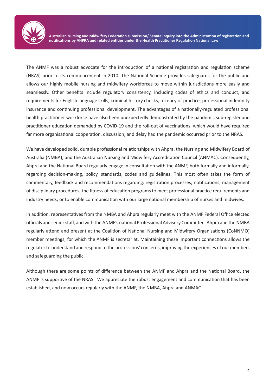

The ANMF was a robust advocate for the introduction of a national registration and regulation scheme (NRAS) prior to its commencement in 2010. The National Scheme provides safeguards for the public and allows our highly mobile nursing and midwifery workforces to move within jurisdictions more easily and seamlessly. Other benefits include regulatory consistency, including codes of ethics and conduct, and requirements for English language skills, criminal history checks, recency of practice, professional indemnity insurance and continuing professional development. The advantages of a nationally-regulated professional health practitioner workforce have also been unexpectedly demonstrated by the pandemic sub-register and practitioner education demanded by COVID-19 and the roll-out of vaccinations, which would have required far more organisational cooperation, discussion, and delay had the pandemic occurred prior to the NRAS.

We have developed solid, durable professional relationships with Ahpra, the Nursing and Midwifery Board of Australia (NMBA), and the Australian Nursing and Midwifery Accreditation Council (ANMAC). Consequently, Ahpra and the National Board regularly engage in consultation with the ANMF, both formally and informally, regarding decision-making, policy, standards, codes and guidelines. This most often takes the form of commentary, feedback and recommendations regarding: registration processes; notifications; management of disciplinary procedures; the fitness of education programs to meet professional practice requirements and industry needs; or to enable communication with our large national membership of nurses and midwives.

In addition, representatives from the NMBA and Ahpra regularly meet with the ANMF Federal Office elected officials and senior staff, and with the ANMF's national Professional Advisory Committee. Ahpra and the NMBA regularly attend and present at the Coalition of National Nursing and Midwifery Organisations (CoNNMO) member meetings, for which the ANMF is secretariat. Maintaining these important connections allows the regulator to understand and respond to the professions' concerns, improving the experiences of our members and safeguarding the public.

Although there are some points of difference between the ANMF and Ahpra and the National Board, the ANMF is supportive of the NRAS. We appreciate the robust engagement and communication that has been established, and now occurs regularly with the ANMF, the NMBA, Ahpra and ANMAC.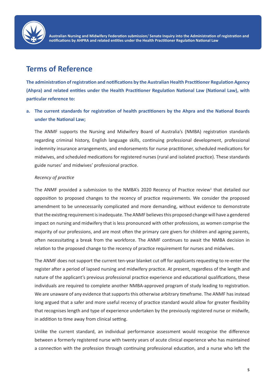

## **Terms of Reference**

**The administration of registration and notifications by the Australian Health Practitioner Regulation Agency (Ahpra) and related entities under the Health Practitioner Regulation National Law (National Law), with particular reference to:**

## **a. The current standards for registration of health practitioners by the Ahpra and the National Boards under the National Law;**

The ANMF supports the Nursing and Midwifery Board of Australia's (NMBA) registration standards regarding criminal history, English language skills, continuing professional development, professional indemnity insurance arrangements, and endorsements for nurse practitioner, scheduled medications for midwives, and scheduled medications for registered nurses (rural and isolated practice). These standards guide nurses' and midwives' professional practice.

#### *Recency of practice*

The ANMF provided a submission to the NMBA's 2020 Recency of Practice review<sup>1</sup> that detailed our opposition to proposed changes to the recency of practice requirements. We consider the proposed amendment to be unnecessarily complicated and more demanding, without evidence to demonstrate that the existing requirement is inadequate. The ANMF believes this proposed change will have a gendered impact on nursing and midwifery that is less pronounced with other professions, as women comprise the majority of our professions, and are most often the primary care givers for children and ageing parents, often necessitating a break from the workforce. The ANMF continues to await the NMBA decision in relation to the proposed change to the recency of practice requirement for nurses and midwives.

The ANMF does not support the current ten-year blanket cut off for applicants requesting to re-enter the register after a period of lapsed nursing and midwifery practice. At present, regardless of the length and nature of the applicant's previous professional practice experience and educational qualifications, these individuals are required to complete another NMBA-approved program of study leading to registration. We are unaware of any evidence that supports this otherwise arbitrary timeframe. The ANMF has instead long argued that a safer and more useful recency of practice standard would allow for greater flexibility that recognises length and type of experience undertaken by the previously registered nurse or midwife, in addition to time away from clinical setting.

Unlike the current standard, an individual performance assessment would recognise the difference between a formerly registered nurse with twenty years of acute clinical experience who has maintained a connection with the profession through continuing professional education, and a nurse who left the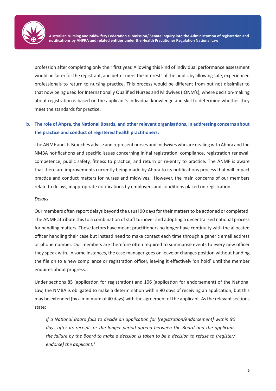

profession after completing only their first year. Allowing this kind of individual performance assessment would be fairer for the registrant, and better meet the interests of the public by allowing safe, experienced professionals to return to nursing practice. This process would be different from but not dissimilar to that now being used for Internationally Qualified Nurses and Midwives (IQNM's), where decision-making about registration is based on the applicant's individual knowledge and skill to determine whether they meet the standards for practice.

## **b. The role of Ahpra, the National Boards, and other relevant organisations, in addressing concerns about the practice and conduct of registered health practitioners;**

The ANMF and its Branches advise and represent nurses and midwives who are dealing with Ahpra and the NMBA notifications and specific issues concerning initial registration, compliance, registration renewal, competence, public safety, fitness to practice, and return or re-entry to practice. The ANMF is aware that there are improvements currently being made by Ahpra to its notifications process that will impact practice and conduct matters for nurses and midwives. However, the main concerns of our members relate to delays, inappropriate notifications by employers and conditions placed on registration.

#### *Delays*

Our members often report delays beyond the usual 90 days for their matters to be actioned or completed. The ANMF attribute this to a combination of staff turnover and adopting a decentralised national process for handling matters. These factors have meant practitioners no longer have continuity with the allocated officer handling their case but instead need to make contact each time through a generic email address or phone number. Our members are therefore often required to summarise events to every new officer they speak with. In some instances, the case manager goes on leave or changes position without handing the file on to a new compliance or registration officer, leaving it effectively 'on hold' until the member enquires about progress.

Under sections 85 (application for registration) and 106 (application for endorsement) of the National Law, the NMBA is obligated to make a determination within 90 days of receiving an application, but this may be extended (by a minimum of 40 days) with the agreement of the applicant. As the relevant sections state:

*If a National Board fails to decide an application for [registration/endorsement] within 90 days after its receipt, or the longer period agreed between the Board and the applicant, the failure by the Board to make a decision is taken to be a decision to refuse to [register/ endorse] the applicant.<sup>2</sup>*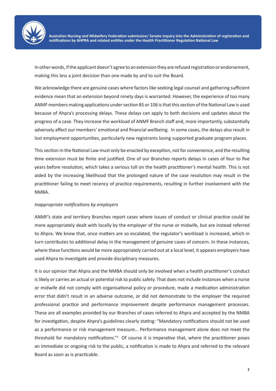

In other words, if the applicant doesn't agree to an extension they are refused registration or endorsement, making this less a joint decision than one made by and to suit the Board.

We acknowledge there are genuine cases where factors like seeking legal counsel and gathering sufficient evidence mean that an extension beyond ninety days is warranted. However, the experience of too many ANMF members making applications under section 85 or 106 is that this section of the National Law is used because of Ahpra's processing delays. These delays can apply to both decisions and updates about the progress of a case. They increase the workload of ANMF Branch staff and, more importantly, substantially adversely affect our members' emotional and financial wellbeing. In some cases, the delays also result in lost employment opportunities, particularly new registrants losing supported graduate program places.

This section in the National Law must only be enacted by exception, not for convenience, and the resulting time extension must be finite and justified. One of our Branches reports delays in cases of four to five years before resolution, which takes a serious toll on the health practitioner's mental health. This is not aided by the increasing likelihood that the prolonged nature of the case resolution may result in the practitioner failing to meet recency of practice requirements, resulting in further involvement with the NMBA.

#### *Inappropriate notifications by employers*

ANMF's state and territory Branches report cases where issues of conduct or clinical practice could be more appropriately dealt with locally by the employer of the nurse or midwife, but are instead referred to Ahpra. We know that, once matters are so escalated, the regulator's workload is increased, which in turn contributes to additional delay in the management of genuine cases of concern. In these instances, where these functions would be more appropriately carried out at a local level, it appears employers have used Ahpra to investigate and provide disciplinary measures.

It is our opinion that Ahpra and the NMBA should only be involved when a health practitioner's conduct is likely or carries an actual or potential risk to public safety. That does not include instances when a nurse or midwife did not comply with organisational policy or procedure, made a medication administration error that didn't result in an adverse outcome, or did not demonstrate to the employer the required professional practice and performance improvement despite performance management processes. These are all examples provided by our Branches of cases referred to Ahpra and accepted by the NMBA for investigation, despite Ahpra's guidelines clearly stating: "Mandatory notifications should not be used as a performance or risk management measure… Performance management alone does not meet the threshold for mandatory notifications."<sup>3</sup> Of course it is imperative that, where the practitioner poses an immediate or ongoing risk to the public, a notification is made to Ahpra and referred to the relevant Board as soon as is practicable.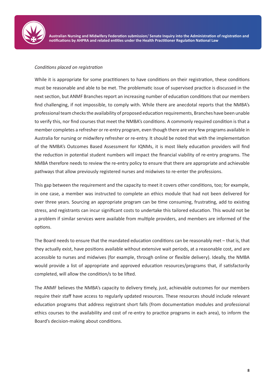

#### *Conditions placed on registration*

While it is appropriate for some practitioners to have conditions on their registration, these conditions must be reasonable and able to be met. The problematic issue of supervised practice is discussed in the next section, but ANMF Branches report an increasing number of education conditions that our members find challenging, if not impossible, to comply with. While there are anecdotal reports that the NMBA's professional team checks the availability of proposed education requirements, Branches have been unable to verify this, nor find courses that meet the NMBA's conditions. A commonly required condition is that a member completes a refresher or re-entry program, even though there are very few programs available in Australia for nursing or midwifery refresher or re-entry. It should be noted that with the implementation of the NMBA's Outcomes Based Assessment for IQNMs, it is most likely education providers will find the reduction in potential student numbers will impact the financial viability of re-entry programs. The NMBA therefore needs to review the re-entry policy to ensure that there are appropriate and achievable pathways that allow previously registered nurses and midwives to re-enter the professions.

This gap between the requirement and the capacity to meet it covers other conditions, too; for example, in one case, a member was instructed to complete an ethics module that had not been delivered for over three years. Sourcing an appropriate program can be time consuming, frustrating, add to existing stress, and registrants can incur significant costs to undertake this tailored education. This would not be a problem if similar services were available from multiple providers, and members are informed of the options.

The Board needs to ensure that the mandated education conditions can be reasonably met – that is, that they actually exist, have positions available without extensive wait periods, at a reasonable cost, and are accessible to nurses and midwives (for example, through online or flexible delivery). Ideally, the NMBA would provide a list of appropriate and approved education resources/programs that, if satisfactorily completed, will allow the condition/s to be lifted.

The ANMF believes the NMBA's capacity to delivery timely, just, achievable outcomes for our members require their staff have access to regularly updated resources. These resources should include relevant education programs that address registrant short falls (from documentation modules and professional ethics courses to the availability and cost of re-entry to practice programs in each area), to inform the Board's decision-making about conditions.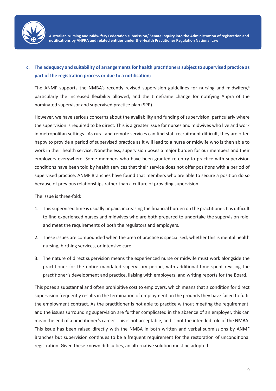

## **c. The adequacy and suitability of arrangements for health practitioners subject to supervised practice as part of the registration process or due to a notification;**

The ANMF supports the NMBA's recently revised supervision guidelines for nursing and midwifery,<sup>4</sup> particularly the increased flexibility allowed, and the timeframe change for notifying Ahpra of the nominated supervisor and supervised practice plan (SPP).

However, we have serious concerns about the availability and funding of supervision, particularly where the supervision is required to be direct. This is a greater issue for nurses and midwives who live and work in metropolitan settings. As rural and remote services can find staff recruitment difficult, they are often happy to provide a period of supervised practice as it will lead to a nurse or midwife who is then able to work in their health service. Nonetheless, supervision poses a major burden for our members and their employers everywhere. Some members who have been granted re-entry to practice with supervision conditions have been told by health services that their service does not offer positions with a period of supervised practice. ANMF Branches have found that members who are able to secure a position do so because of previous relationships rather than a culture of providing supervision.

The issue is three-fold:

- 1. This supervised time is usually unpaid, increasing the financial burden on the practitioner. It is difficult to find experienced nurses and midwives who are both prepared to undertake the supervision role, and meet the requirements of both the regulators and employers.
- 2. These issues are compounded when the area of practice is specialised, whether this is mental health nursing, birthing services, or intensive care.
- 3. The nature of direct supervision means the experienced nurse or midwife must work alongside the practitioner for the entire mandated supervisory period, with additional time spent revising the practitioner's development and practice, liaising with employers, and writing reports for the Board.

This poses a substantial and often prohibitive cost to employers, which means that a condition for direct supervision frequently results in the termination of employment on the grounds they have failed to fulfil the employment contract. As the practitioner is not able to practice without meeting the requirement, and the issues surrounding supervision are further complicated in the absence of an employer, this can mean the end of a practitioner's career. This is not acceptable, and is not the intended role of the NMBA. This issue has been raised directly with the NMBA in both written and verbal submissions by ANMF Branches but supervision continues to be a frequent requirement for the restoration of unconditional registration. Given these known difficulties, an alternative solution must be adopted.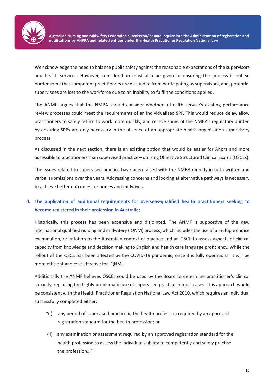

We acknowledge the need to balance public safety against the reasonable expectations of the supervisors and health services. However, consideration must also be given to ensuring the process is not so burdensome that competent practitioners are dissuaded from participating as supervisors, and, potential supervisees are lost to the workforce due to an inability to fulfil the conditions applied.

The ANMF argues that the NMBA should consider whether a health service's existing performance review processes could meet the requirements of an individualised SPP. This would reduce delay, allow practitioners to safely return to work more quickly, and relieve some of the NMBA's regulatory burden by ensuring SPPs are only necessary in the absence of an appropriate health organisation supervisory process.

As discussed in the next section, there is an existing option that would be easier for Ahpra and more accessible to practitioners than supervised practice – utilising Objective Structured Clinical Exams (OSCEs).

The issues related to supervised practice have been raised with the NMBA directly in both written and verbal submissions over the years. Addressing concerns and looking at alternative pathways is necessary to achieve better outcomes for nurses and midwives.

## **d. The application of additional requirements for overseas-qualified health practitioners seeking to become registered in their profession in Australia;**

Historically, this process has been expensive and disjointed. The ANMF is supportive of the new international qualified nursing and midwifery (IQNM) process, which includes the use of a multiple choice examination, orientation to the Australian context of practice and an OSCE to assess aspects of clinical capacity from knowledge and decision making to English and health care language proficiency. While the rollout of the OSCE has been affected by the COVID-19 pandemic, once it is fully operational it will be more efficient and cost effective for IQNMs.

Additionally the ANMF believes OSCEs could be used by the Board to determine practitioner's clinical capacity, replacing the highly problematic use of supervised practice in most cases. This approach would be consistent with the Health Practitioner Regulation National Law Act 2010, which requires an individual successfully completed either:

- "(i) any period of supervised practice in the health profession required by an approved registration standard for the health profession; or
- (ii) any examination or assessment required by an approved registration standard for the health profession to assess the individual's ability to competently and safely practise the profession…"5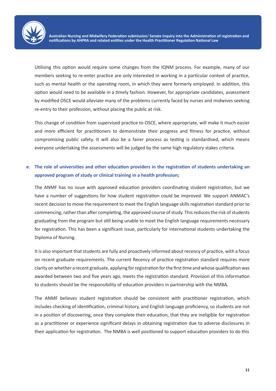

Utilising this option would require some changes from the IQNM process. For example, many of our members seeking to re-enter practice are only interested in working in a particular context of practice, such as mental health or the operating room, in which they were formerly employed. In addition, this option would need to be available in a timely fashion. However, for appropriate candidates, assessment by modified OSCE would alleviate many of the problems currently faced by nurses and midwives seeking re-entry to their profession, without placing the public at risk.

This change of condition from supervised practice to OSCE, where appropriate, will make it much easier and more efficient for practitioners to demonstrate their progress and fitness for practice, without compromising public safety. It will also be a fairer process as testing is standardised, which means everyone undertaking the assessments will be judged by the same high regulatory stakes criteria.

## **e. The role of universities and other education providers in the registration of students undertaking an approved program of study or clinical training in a health profession;**

The ANMF has no issue with approved education providers coordinating student registration, but we have a number of suggestions for how student registration could be improved. We support ANMAC's recent decision to move the requirement to meet the English language skills registration standard prior to commencing, rather than after completing, the approved course of study. This reduces the risk of students graduating from the program but still being unable to meet the English language requirements necessary for registration. This has been a significant issue, particularly for international students undertaking the Diploma of Nursing.

It is also important that students are fully and proactively informed about recency of practice, with a focus on recent graduate requirements. The current Recency of practice registration standard requires more clarity on whether a recent graduate, applying for registration for the first time and whose qualification was awarded between two and five years ago, meets the registration standard. Provision of this information to students should be the responsibility of education providers in partnership with the NMBA.

The ANMF believes student registration should be consistent with practitioner registration, which includes checking of identification, criminal history, and English language proficiency, so students are not in a position of discovering, once they complete their education, that they are ineligible for registration as a practitioner or experience significant delays in obtaining registration due to adverse disclosures in their application for registration. The NMBA is well positioned to support education providers to do this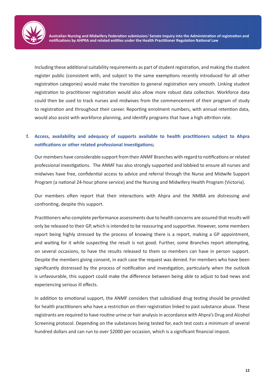

Including these additional suitability requirements as part of student registration, and making the student register public (consistent with, and subject to the same exemptions recently introduced for all other registration categories) would make the transition to general registration very smooth. Linking student registration to practitioner registration would also allow more robust data collection. Workforce data could then be used to track nurses and midwives from the commencement of their program of study to registration and throughout their career. Reporting enrolment numbers, with annual retention data, would also assist with workforce planning, and identify programs that have a high attrition rate.

## **f. Access, availability and adequacy of supports available to health practitioners subject to Ahpra notifications or other related professional investigations;**

Our members have considerable support from their ANMF Branches with regard to notifications or related professional investigations. The ANMF has also strongly supported and lobbied to ensure all nurses and midwives have free, confidential access to advice and referral through the Nurse and Midwife Support Program (a national 24-hour phone service) and the Nursing and Midwifery Health Program (Victoria).

Our members often report that their interactions with Ahpra and the NMBA are distressing and confronting, despite this support.

Practitioners who complete performance assessments due to health concerns are assured that results will only be released to their GP, which is intended to be reassuring and supportive. However, some members report being highly stressed by the process of knowing there is a report, making a GP appointment, and waiting for it while suspecting the result is not good. Further, some Branches report attempting, on several occasions, to have the results released to them so members can have in person support. Despite the members giving consent, in each case the request was denied. For members who have been significantly distressed by the process of notification and investigation, particularly when the outlook is unfavourable, this support could make the difference between being able to adjust to bad news and experiencing serious ill effects.

In addition to emotional support, the ANMF considers that subsidised drug testing should be provided for health practitioners who have a restriction on their registration linked to past substance abuse. These registrants are required to have routine urine or hair analysis in accordance with Ahpra's Drug and Alcohol Screening protocol. Depending on the substances being tested for, each test costs a minimum of several hundred dollars and can run to over \$2000 per occasion, which is a significant financial impost.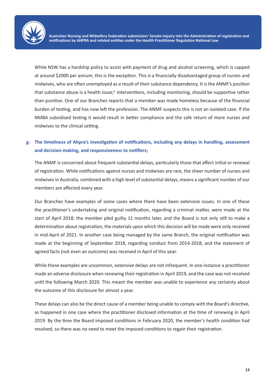

While NSW has a hardship policy to assist with payment of drug and alcohol screening, which is capped at around \$2000 per annum, this is the exception. This is a financially disadvantaged group of nurses and midwives, who are often unemployed as a result of their substance dependency. It is the ANMF's position that substance abuse is a health issue;<sup>6</sup> interventions, including monitoring, should be supportive rather than punitive. One of our Branches reports that a member was made homeless because of the financial burden of testing, and has now left the profession. The ANMF suspects this is not an isolated case. If the NMBA subsidised testing it would result in better compliance and the safe return of more nurses and midwives to the clinical setting.

## **g. The timeliness of Ahpra's investigation of notifications, including any delays in handling, assessment and decision-making, and responsiveness to notifiers;**

The ANMF is concerned about frequent substantial delays, particularly those that affect initial or renewal of registration. While notifications against nurses and midwives are rare, the sheer number of nurses and midwives in Australia, combined with a high level of substantial delays, means a significant number of our members are affected every year.

Our Branches have examples of some cases where there have been extensive issues. In one of these the practitioner's undertaking and original notification, regarding a criminal matter, were made at the start of April 2018; the member pled guilty 11 months later, and the Board is not only still to make a determination about registration, the materials upon which this decision will be made were only received in mid-April of 2021. In another case being managed by the same Branch, the original notification was made at the beginning of September 2018, regarding conduct from 2014-2018, and the statement of agreed facts (not even an outcome) was received in April of this year.

While these examples are uncommon, extensive delays are not infrequent. In one instance a practitioner made an adverse disclosure when renewing their registration in April 2019, and the case was not resolved until the following March 2020. This meant the member was unable to experience any certainty about the outcome of this disclosure for almost a year.

These delays can also be the direct cause of a member being unable to comply with the Board's directive, as happened in one case where the practitioner disclosed information at the time of renewing in April 2019. By the time the Board imposed conditions in February 2020, the member's health condition had resolved, so there was no need to meet the imposed conditions to regain their registration.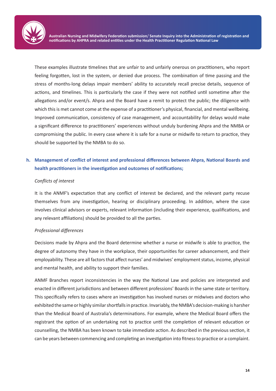

These examples illustrate timelines that are unfair to and unfairly onerous on practitioners, who report feeling forgotten, lost in the system, or denied due process. The combination of time passing and the stress of months-long delays impair members' ability to accurately recall precise details, sequence of actions, and timelines. This is particularly the case if they were not notified until sometime after the allegations and/or event/s. Ahpra and the Board have a remit to protect the public; the diligence with which this is met cannot come at the expense of a practitioner's physical, financial, and mental wellbeing. Improved communication, consistency of case management, and accountability for delays would make a significant difference to practitioners' experiences without unduly burdening Ahpra and the NMBA or compromising the public. In every case where it is safe for a nurse or midwife to return to practice, they should be supported by the NMBA to do so.

## **h. Management of conflict of interest and professional differences between Ahpra, National Boards and health practitioners in the investigation and outcomes of notifications;**

#### *Conflicts of interest*

It is the ANMF's expectation that any conflict of interest be declared, and the relevant party recuse themselves from any investigation, hearing or disciplinary proceeding. In addition, where the case involves clinical advisors or experts, relevant information (including their experience, qualifications, and any relevant affiliations) should be provided to all the parties.

#### *Professional differences*

Decisions made by Ahpra and the Board determine whether a nurse or midwife is able to practice, the degree of autonomy they have in the workplace, their opportunities for career advancement, and their employability. These are all factors that affect nurses' and midwives' employment status, income, physical and mental health, and ability to support their families.

ANMF Branches report inconsistencies in the way the National Law and policies are interpreted and enacted in different jurisdictions and between different professions' Boards in the same state or territory. This specifically refers to cases where an investigation has involved nurses or midwives and doctors who exhibited the same or highly similar shortfalls in practice. Invariably, the NMBA's decision-making is harsher than the Medical Board of Australia's determinations. For example, where the Medical Board offers the registrant the option of an undertaking not to practice until the completion of relevant education or counselling, the NMBA has been known to take immediate action. As described in the previous section, it can be years between commencing and completing an investigation into fitness to practice or a complaint.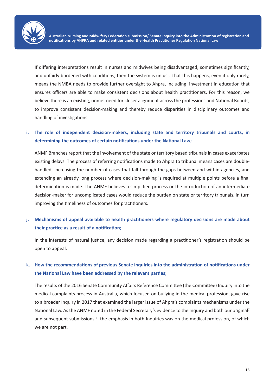

If differing interpretations result in nurses and midwives being disadvantaged, sometimes significantly, and unfairly burdened with conditions, then the system is unjust. That this happens, even if only rarely, means the NMBA needs to provide further oversight to Ahpra, including investment in education that ensures officers are able to make consistent decisions about health practitioners. For this reason, we believe there is an existing, unmet need for closer alignment across the professions and National Boards, to improve consistent decision-making and thereby reduce disparities in disciplinary outcomes and handling of investigations.

### **i. The role of independent decision-makers, including state and territory tribunals and courts, in determining the outcomes of certain notifications under the National Law;**

ANMF Branches report that the involvement of the state or territory based tribunals in cases exacerbates existing delays. The process of referring notifications made to Ahpra to tribunal means cases are doublehandled, increasing the number of cases that fall through the gaps between and within agencies, and extending an already long process where decision-making is required at multiple points before a final determination is made. The ANMF believes a simplified process or the introduction of an intermediate decision-maker for uncomplicated cases would reduce the burden on state or territory tribunals, in turn improving the timeliness of outcomes for practitioners.

### **j. Mechanisms of appeal available to health practitioners where regulatory decisions are made about their practice as a result of a notification;**

In the interests of natural justice, any decision made regarding a practitioner's registration should be open to appeal.

## **k. How the recommendations of previous Senate inquiries into the administration of notifications under the National Law have been addressed by the relevant parties;**

The results of the 2016 Senate Community Affairs Reference Committee (the Committee) Inquiry into the medical complaints process in Australia, which focused on bullying in the medical profession, gave rise to a broader Inquiry in 2017 that examined the larger issue of Ahpra's complaints mechanisms under the National Law. As the ANMF noted in the Federal Secretary's evidence to the Inquiry and both our original7 and subsequent submissions,<sup>8</sup> the emphasis in both Inquiries was on the medical profession, of which we are not part.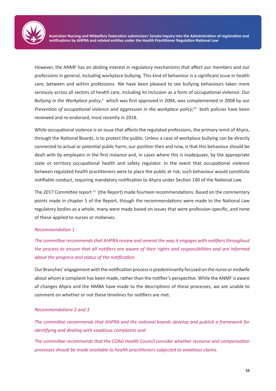

However, the ANMF has an abiding interest in regulatory mechanisms that affect our members and our professions in general, including workplace bullying. This kind of behaviour is a significant issue in health care, between and within professions. We have been pleased to see bullying behaviours taken more seriously across all sectors of health care, including its inclusion as a form of occupational violence. *Our*  Bullying in the Workplace policy,<sup>9</sup> which was first approved in 2004, was complemented in 2008 by our Prevention of occupational violence and aggression in the workplace policy;<sup>10</sup> both policies have been reviewed and re-endorsed, most recently in 2018.

While occupational violence is an issue that affects the regulated professions, the primary remit of Ahpra, through the National Boards, is to protect the public. Unless a case of workplace bullying can be directly connected to actual or potential public harm, our position then and now, is that this behaviour should be dealt with by employers in the first instance and, in cases where this is inadequate, by the appropriate state or territory occupational health and safety regulator. In the event that occupational violence between regulated health practitioners were to place the public at risk, such behaviour would constitute notifiable conduct, requiring mandatory notification to Ahpra under Section 140 of the National Law.

The 2017 Committee report <sup>11</sup> (the Report) made fourteen recommendations. Based on the commentary points made in chapter 5 of the Report, though the recommendations were made to the National Law regulatory bodies as a whole, many were made based on issues that were profession-specific, and none of these applied to nurses or midwives.

#### *Recommendation 1*

*The committee recommends that AHPRA review and amend the way it engages with notifiers throughout the process to ensure that all notifiers are aware of their rights and responsibilities and are informed about the progress and status of the notification.*

Our Branches' engagement with the notification process is predominantly focused on the nurse or midwife about whom a complaint has been made, rather than the notifier's perspective. While the ANMF is aware of changes Ahpra and the NMBA have made to the descriptions of these processes, we are unable to comment on whether or not these timelines for notifiers are met.

#### *Recommendations 2 and 3*

*The committee recommends that AHPRA and the national boards develop and publish a framework for identifying and dealing with vexatious complaints and*

*The committee recommends that the COAG Health Council consider whether recourse and compensation processes should be made available to health practitioners subjected to vexatious claims.*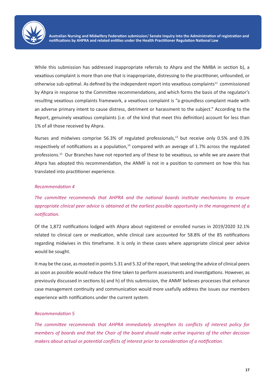

While this submission has addressed inappropriate referrals to Ahpra and the NMBA in section b), a vexatious complaint is more than one that is inappropriate, distressing to the practitioner, unfounded, or otherwise sub-optimal. As defined by the independent report into vexatious complaints12 commissioned by Ahpra in response to the Committee recommendations, and which forms the basis of the regulator's resulting vexatious complaints framework, a vexatious complaint is "a groundless complaint made with an adverse primary intent to cause distress, detriment or harassment to the subject." According to the Report, genuinely vexatious complaints (i.e. of the kind that meet this definition) account for less than 1% of all those received by Ahpra.

Nurses and midwives comprise 56.3% of regulated professionals,<sup>13</sup> but receive only 0.5% and 0.3% respectively of notifications as a population, $14$  compared with an average of 1.7% across the regulated professions.15 Our Branches have not reported any of these to be vexatious, so while we are aware that Ahpra has adopted this recommendation, the ANMF is not in a position to comment on how this has translated into practitioner experience.

#### *Recommendation 4*

*The committee recommends that AHPRA and the national boards institute mechanisms to ensure appropriate clinical peer advice is obtained at the earliest possible opportunity in the management of a notification.*

Of the 1,872 notifications lodged with Ahpra about registered or enrolled nurses in 2019/2020 32.1% related to clinical care or medication, while clinical care accounted for 58.8% of the 85 notifications regarding midwives in this timeframe. It is only in these cases where appropriate clinical peer advice would be sought.

It may be the case, as mooted in points 5.31 and 5.32 of the report, that seeking the advice of clinical peers as soon as possible would reduce the time taken to perform assessments and investigations. However, as previously discussed in sections b) and h) of this submission, the ANMF believes processes that enhance case management continuity and communication would more usefully address the issues our members experience with notifications under the current system.

#### *Recommendation 5*

*The committee recommends that AHPRA immediately strengthen its conflicts of interest policy for members of boards and that the Chair of the board should make active inquiries of the other decision makers about actual or potential conflicts of interest prior to consideration of a notification.*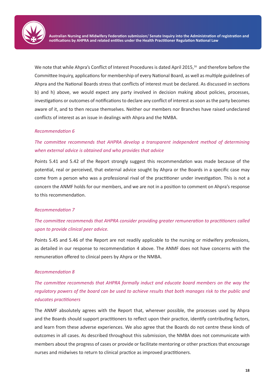

We note that while Ahpra's Conflict of Interest Procedures is dated April 2015,<sup>16</sup> and therefore before the Committee Inquiry, applications for membership of every National Board, as well as multiple guidelines of Ahpra and the National Boards stress that conflicts of interest must be declared. As discussed in sections b) and h) above, we would expect any party involved in decision making about policies, processes, investigations or outcomes of notifications to declare any conflict of interest as soon as the party becomes aware of it, and to then recuse themselves. Neither our members nor Branches have raised undeclared conflicts of interest as an issue in dealings with Ahpra and the NMBA.

#### *Recommendation 6*

## *The committee recommends that AHPRA develop a transparent independent method of determining when external advice is obtained and who provides that advice*

Points 5.41 and 5.42 of the Report strongly suggest this recommendation was made because of the potential, real or perceived, that external advice sought by Ahpra or the Boards in a specific case may come from a person who was a professional rival of the practitioner under investigation. This is not a concern the ANMF holds for our members, and we are not in a position to comment on Ahpra's response to this recommendation.

#### *Recommendation 7*

### *The committee recommends that AHPRA consider providing greater remuneration to practitioners called upon to provide clinical peer advice.*

Points 5.45 and 5.46 of the Report are not readily applicable to the nursing or midwifery professions, as detailed in our response to recommendation 4 above. The ANMF does not have concerns with the remuneration offered to clinical peers by Ahpra or the NMBA.

#### *Recommendation 8*

*The committee recommends that AHPRA formally induct and educate board members on the way the regulatory powers of the board can be used to achieve results that both manages risk to the public and educates practitioners* 

The ANMF absolutely agrees with the Report that, wherever possible, the processes used by Ahpra and the Boards should support practitioners to reflect upon their practice, identify contributing factors, and learn from these adverse experiences. We also agree that the Boards do not centre these kinds of outcomes in all cases. As described throughout this submission, the NMBA does not communicate with members about the progress of cases or provide or facilitate mentoring or other practices that encourage nurses and midwives to return to clinical practice as improved practitioners.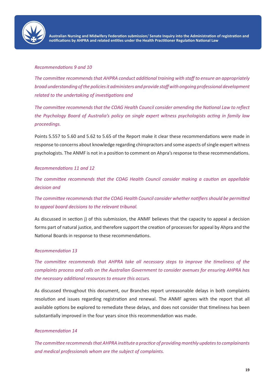

#### *Recommendations 9 and 10*

*The committee recommends that AHPRA conduct additional training with staff to ensure an appropriately broad understanding of the policies it administers and provide staff with ongoing professional development related to the undertaking of investigations and*

*The committee recommends that the COAG Health Council consider amending the National Law to reflect the Psychology Board of Australia's policy on single expert witness psychologists acting in family law proceedings.*

Points 5.557 to 5.60 and 5.62 to 5.65 of the Report make it clear these recommendations were made in response to concerns about knowledge regarding chiropractors and some aspects of single expert witness psychologists. The ANMF is not in a position to comment on Ahpra's response to these recommendations.

#### *Recommendations 11 and 12*

*The committee recommends that the COAG Health Council consider making a caution an appellable decision and* 

*The committee recommends that the COAG Health Council consider whether notifiers should be permitted to appeal board decisions to the relevant tribunal.*

As discussed in section j) of this submission, the ANMF believes that the capacity to appeal a decision forms part of natural justice, and therefore support the creation of processes for appeal by Ahpra and the National Boards in response to these recommendations.

#### *Recommendation 13*

*The committee recommends that AHPRA take all necessary steps to improve the timeliness of the complaints process and calls on the Australian Government to consider avenues for ensuring AHPRA has the necessary additional resources to ensure this occurs.*

As discussed throughout this document, our Branches report unreasonable delays in both complaints resolution and issues regarding registration and renewal. The ANMF agrees with the report that all available options be explored to remediate these delays, and does not consider that timeliness has been substantially improved in the four years since this recommendation was made.

#### *Recommendation 14*

*The committee recommends that AHPRA institute a practice of providing monthly updates to complainants and medical professionals whom are the subject of complaints.*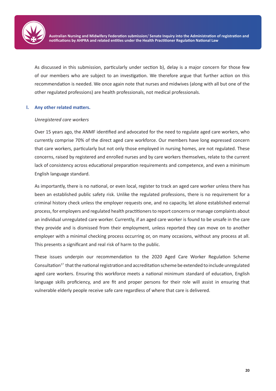

As discussed in this submission, particularly under section b), delay is a major concern for those few of our members who are subject to an investigation. We therefore argue that further action on this recommendation is needed. We once again note that nurses and midwives (along with all but one of the other regulated professions) are health professionals, not medical professionals.

#### **l. Any other related matters.**

#### *Unregistered care workers*

Over 15 years ago, the ANMF identified and advocated for the need to regulate aged care workers, who currently comprise 70% of the direct aged care workforce. Our members have long expressed concern that care workers, particularly but not only those employed in nursing homes, are not regulated. These concerns, raised by registered and enrolled nurses and by care workers themselves, relate to the current lack of consistency across educational preparation requirements and competence, and even a minimum English language standard.

As importantly, there is no national, or even local, register to track an aged care worker unless there has been an established public safety risk. Unlike the regulated professions, there is no requirement for a criminal history check unless the employer requests one, and no capacity, let alone established external process, for employers and regulated health practitioners to report concerns or manage complaints about an individual unregulated care worker. Currently, if an aged care worker is found to be unsafe in the care they provide and is dismissed from their employment, unless reported they can move on to another employer with a minimal checking process occurring or, on many occasions, without any process at all. This presents a significant and real risk of harm to the public.

These issues underpin our recommendation to the 2020 Aged Care Worker Regulation Scheme Consultation<sup>17</sup> that the national registration and accreditation scheme be extended to include unregulated aged care workers. Ensuring this workforce meets a national minimum standard of education, English language skills proficiency, and are fit and proper persons for their role will assist in ensuring that vulnerable elderly people receive safe care regardless of where that care is delivered.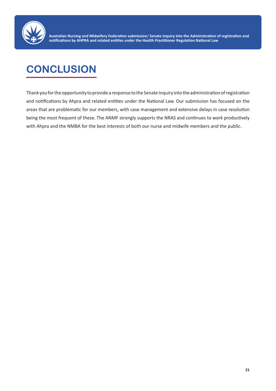

## **CONCLUSION**

Thank you for the opportunity to provide a response to the Senate Inquiry into the administration of registration and notifications by Ahpra and related entities under the National Law. Our submission has focused on the areas that are problematic for our members, with case management and extensive delays in case resolution being the most frequent of these. The ANMF strongly supports the NRAS and continues to work productively with Ahpra and the NMBA for the best interests of both our nurse and midwife members and the public.